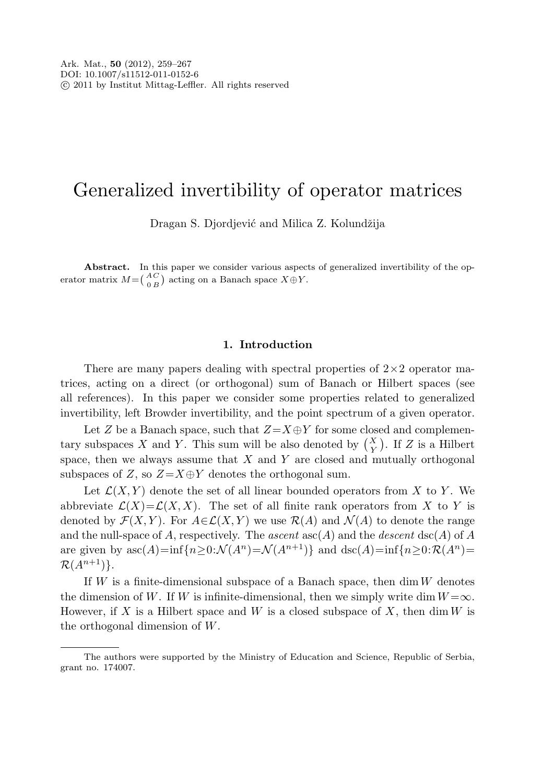# Generalized invertibility of operator matrices

Dragan S. Djordjević and Milica Z. Kolundžija

Abstract. In this paper we consider various aspects of generalized invertibility of the operator matrix  $M = \begin{pmatrix} AC \\ 0 & B \end{pmatrix}$  acting on a Banach space  $X \oplus Y$ .

## **1. Introduction**

There are many papers dealing with spectral properties of  $2\times 2$  operator matrices, acting on a direct (or orthogonal) sum of Banach or Hilbert spaces (see all references). In this paper we consider some properties related to generalized invertibility, left Browder invertibility, and the point spectrum of a given operator.

Let Z be a Banach space, such that  $Z=X\oplus Y$  for some closed and complementary subspaces X and Y. This sum will be also denoted by  $\binom{X}{Y}$  $_{Y}^{X}$ ). If Z is a Hilbert space, then we always assume that  $X$  and  $Y$  are closed and mutually orthogonal subspaces of Z, so  $Z=X\oplus Y$  denotes the orthogonal sum.

Let  $\mathcal{L}(X, Y)$  denote the set of all linear bounded operators from X to Y. We abbreviate  $\mathcal{L}(X)=\mathcal{L}(X,X)$ . The set of all finite rank operators from X to Y is denoted by  $\mathcal{F}(X,Y)$ . For  $A\in\mathcal{L}(X,Y)$  we use  $\mathcal{R}(A)$  and  $\mathcal{N}(A)$  to denote the range and the null-space of A, respectively. The ascent  $asc(A)$  and the descent  $asc(A)$  of A are given by  $\mathrm{asc}(A)=\inf\{n\geq 0:\mathcal{N}(A^n)=\mathcal{N}(A^{n+1})\}\$ and  $\mathrm{asc}(A)=\inf\{n\geq 0:\mathcal{R}(A^n)=\mathcal{N}(A^n)\}$  $\mathcal{R}(A^{n+1})$ .

If  $W$  is a finite-dimensional subspace of a Banach space, then  $\dim W$  denotes the dimension of W. If W is infinite-dimensional, then we simply write dim  $W = \infty$ . However, if X is a Hilbert space and W is a closed subspace of X, then  $\dim W$  is the orthogonal dimension of W.

The authors were supported by the Ministry of Education and Science, Republic of Serbia, grant no. 174007.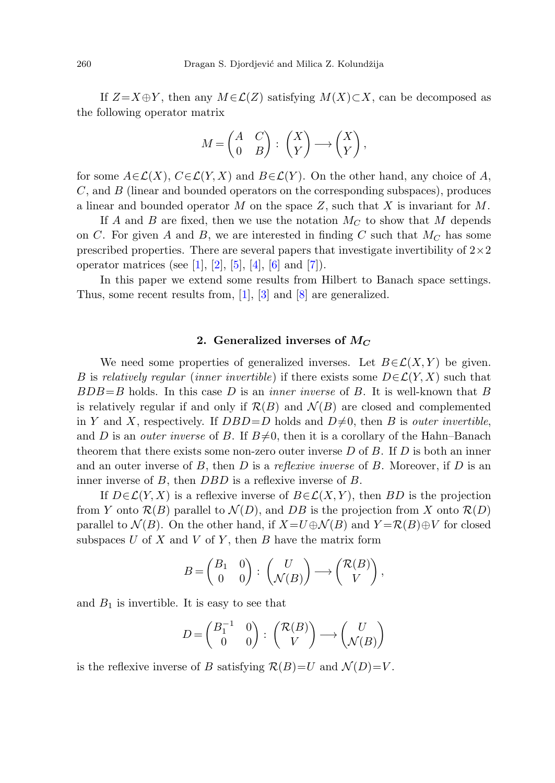If  $Z=X\oplus Y$ , then any  $M\in\mathcal{L}(Z)$  satisfying  $M(X)\subset X$ , can be decomposed as the following operator matrix

$$
M = \begin{pmatrix} A & C \\ 0 & B \end{pmatrix} : \begin{pmatrix} X \\ Y \end{pmatrix} \longrightarrow \begin{pmatrix} X \\ Y \end{pmatrix},
$$

for some  $A \in \mathcal{L}(X)$ ,  $C \in \mathcal{L}(Y, X)$  and  $B \in \mathcal{L}(Y)$ . On the other hand, any choice of A, C, and B (linear and bounded operators on the corresponding subspaces), produces a linear and bounded operator M on the space  $Z$ , such that X is invariant for M.

If A and B are fixed, then we use the notation  $M_C$  to show that M depends on C. For given A and B, we are interested in finding C such that  $M_C$  has some prescribed properties. There are several papers that investigate invertibility of  $2\times 2$ operator matrices (see [[1](#page-8-0)], [\[2](#page-8-1)], [[5\]](#page-8-2), [\[4](#page-8-3)], [[6\]](#page-8-4) and [\[7](#page-8-5)]).

In this paper we extend some results from Hilbert to Banach space settings. Thus, some recent results from, [\[1\]](#page-8-0), [[3\]](#page-8-6) and [[8\]](#page-8-7) are generalized.

## **2. Generalized inverses of** *M<sup>C</sup>*

We need some properties of generalized inverses. Let  $B \in \mathcal{L}(X, Y)$  be given. B is relatively regular (inner invertible) if there exists some  $D \in \mathcal{L}(Y, X)$  such that  $BDB = B$  holds. In this case D is an *inner inverse* of B. It is well-known that B is relatively regular if and only if  $\mathcal{R}(B)$  and  $\mathcal{N}(B)$  are closed and complemented in Y and X, respectively. If  $DBD=D$  holds and  $D\neq 0$ , then B is *outer invertible*, and D is an *outer inverse* of B. If  $B\neq 0$ , then it is a corollary of the Hahn–Banach theorem that there exists some non-zero outer inverse  $D$  of  $B$ . If  $D$  is both an inner and an outer inverse of  $B$ , then  $D$  is a reflexive inverse of  $B$ . Moreover, if  $D$  is an inner inverse of B, then DBD is a reflexive inverse of B.

If  $D \in \mathcal{L}(Y, X)$  is a reflexive inverse of  $B \in \mathcal{L}(X, Y)$ , then BD is the projection from Y onto  $\mathcal{R}(B)$  parallel to  $\mathcal{N}(D)$ , and DB is the projection from X onto  $\mathcal{R}(D)$ parallel to  $\mathcal{N}(B)$ . On the other hand, if  $X=U\oplus \mathcal{N}(B)$  and  $Y=\mathcal{R}(B)\oplus V$  for closed subspaces  $U$  of  $X$  and  $V$  of  $Y$ , then  $B$  have the matrix form

$$
B = \begin{pmatrix} B_1 & 0 \\ 0 & 0 \end{pmatrix} : \begin{pmatrix} U \\ \mathcal{N}(B) \end{pmatrix} \longrightarrow \begin{pmatrix} \mathcal{R}(B) \\ V \end{pmatrix},
$$

and  $B_1$  is invertible. It is easy to see that

$$
D = \begin{pmatrix} B_1^{-1} & 0 \\ 0 & 0 \end{pmatrix} : \begin{pmatrix} \mathcal{R}(B) \\ V \end{pmatrix} \longrightarrow \begin{pmatrix} U \\ \mathcal{N}(B) \end{pmatrix}
$$

is the reflexive inverse of B satisfying  $\mathcal{R}(B)=U$  and  $\mathcal{N}(D)=V$ .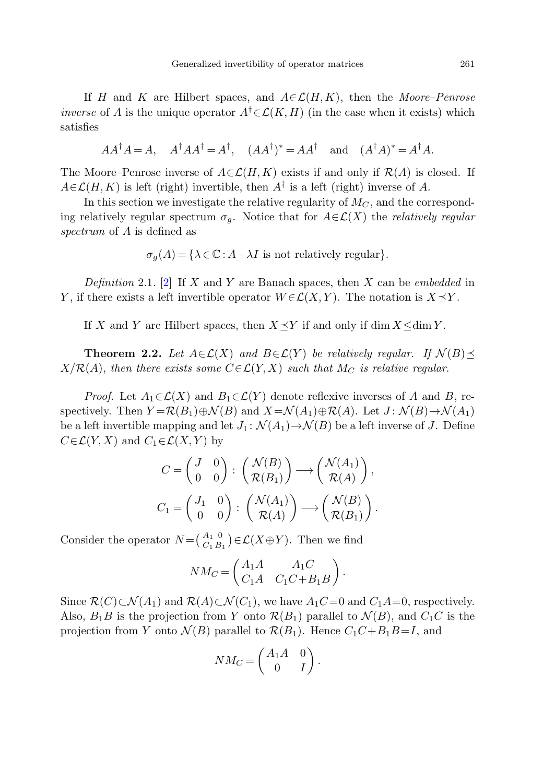If H and K are Hilbert spaces, and  $A \in \mathcal{L}(H, K)$ , then the Moore–Penrose *inverse* of A is the unique operator  $A^{\dagger} \in \mathcal{L}(K,H)$  (in the case when it exists) which satisfies

$$
AA^{\dagger}A = A, \quad A^{\dagger}AA^{\dagger} = A^{\dagger}, \quad (AA^{\dagger})^* = AA^{\dagger} \quad \text{and} \quad (A^{\dagger}A)^* = A^{\dagger}A.
$$

The Moore–Penrose inverse of  $A \in \mathcal{L}(H, K)$  exists if and only if  $\mathcal{R}(A)$  is closed. If  $A \in \mathcal{L}(H,K)$  is left (right) invertible, then  $A^{\dagger}$  is a left (right) inverse of A.

In this section we investigate the relative regularity of  $M_C$ , and the corresponding relatively regular spectrum  $\sigma_g$ . Notice that for  $A \in \mathcal{L}(X)$  the *relatively regular* spectrum of A is defined as

 $\sigma_q(A) = {\lambda \in \mathbb{C} : A - \lambda I \text{ is not relatively regular}}.$ 

<span id="page-2-0"></span>Definition 2.1. [[2\]](#page-8-1) If X and Y are Banach spaces, then X can be embedded in Y, if there exists a left invertible operator  $W \in \mathcal{L}(X, Y)$ . The notation is  $X \preceq Y$ .

If X and Y are Hilbert spaces, then  $X \preceq Y$  if and only if dim  $X \leq \dim Y$ .

**Theorem 2.2.** Let  $A \in \mathcal{L}(X)$  and  $B \in \mathcal{L}(Y)$  be relatively regular. If  $\mathcal{N}(B) \preceq$  $X/R(A)$ , then there exists some  $C \in \mathcal{L}(Y,X)$  such that  $M_C$  is relative regular.

*Proof.* Let  $A_1 \in \mathcal{L}(X)$  and  $B_1 \in \mathcal{L}(Y)$  denote reflexive inverses of A and B, respectively. Then  $Y = \mathcal{R}(B_1) \oplus \mathcal{N}(B)$  and  $X = \mathcal{N}(A_1) \oplus \mathcal{R}(A)$ . Let  $J : \mathcal{N}(B) \rightarrow \mathcal{N}(A_1)$ be a left invertible mapping and let  $J_1: \mathcal{N}(A_1) \to \mathcal{N}(B)$  be a left inverse of J. Define  $C\in \mathcal{L}(Y,X)$  and  $C_1\in \mathcal{L}(X,Y)$  by

$$
C = \begin{pmatrix} J & 0 \\ 0 & 0 \end{pmatrix} : \begin{pmatrix} \mathcal{N}(B) \\ \mathcal{R}(B_1) \end{pmatrix} \longrightarrow \begin{pmatrix} \mathcal{N}(A_1) \\ \mathcal{R}(A) \end{pmatrix},
$$

$$
C_1 = \begin{pmatrix} J_1 & 0 \\ 0 & 0 \end{pmatrix} : \begin{pmatrix} \mathcal{N}(A_1) \\ \mathcal{R}(A) \end{pmatrix} \longrightarrow \begin{pmatrix} \mathcal{N}(B) \\ \mathcal{R}(B_1) \end{pmatrix}.
$$

Consider the operator  $N = \begin{pmatrix} A_1 & 0 \\ C_1 & B_1 \end{pmatrix}$  $\mathcal{L}_{C_1 B_1}^{A_1}$   $\in \mathcal{L}(X \oplus Y)$ . Then we find

$$
NM_C = \begin{pmatrix} A_1A & A_1C \\ C_1A & C_1C+B_1B \end{pmatrix}.
$$

Since  $\mathcal{R}(C) \subset \mathcal{N}(A_1)$  and  $\mathcal{R}(A) \subset \mathcal{N}(C_1)$ , we have  $A_1C=0$  and  $C_1A=0$ , respectively. Also,  $B_1B$  is the projection from Y onto  $\mathcal{R}(B_1)$  parallel to  $\mathcal{N}(B)$ , and  $C_1C$  is the projection from Y onto  $\mathcal{N}(B)$  parallel to  $\mathcal{R}(B_1)$ . Hence  $C_1C+B_1B=I$ , and

$$
NM_C = \begin{pmatrix} A_1A & 0 \\ 0 & I \end{pmatrix}.
$$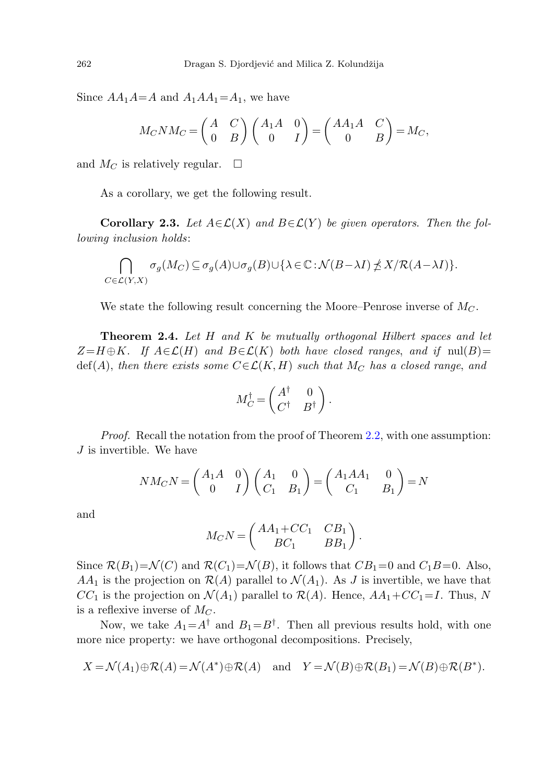Since  $AA_1A=A$  and  $A_1AA_1=A_1$ , we have

$$
M_C N M_C = \begin{pmatrix} A & C \\ 0 & B \end{pmatrix} \begin{pmatrix} A_1 A & 0 \\ 0 & I \end{pmatrix} = \begin{pmatrix} AA_1 A & C \\ 0 & B \end{pmatrix} = M_C,
$$

and  $M_C$  is relatively regular.  $\Box$ 

As a corollary, we get the following result.

**Corollary 2.3.** Let  $A \in \mathcal{L}(X)$  and  $B \in \mathcal{L}(Y)$  be given operators. Then the following inclusion holds:

$$
\bigcap_{C \in \mathcal{L}(Y,X)} \sigma_g(M_C) \subseteq \sigma_g(A) \cup \sigma_g(B) \cup \{\lambda \in \mathbb{C} : \mathcal{N}(B - \lambda I) \npreceq X/\mathcal{R}(A - \lambda I)\}.
$$

We state the following result concerning the Moore–Penrose inverse of  $M_C$ .

**Theorem 2***.***4.** Let H and K be mutually orthogonal Hilbert spaces and let  $Z=H\oplus K$ . If  $A\in\mathcal{L}(H)$  and  $B\in\mathcal{L}(K)$  both have closed ranges, and if  $\text{null}(B)=$  $\text{def}(A)$ , then there exists some  $C \in \mathcal{L}(K,H)$  such that  $M_C$  has a closed range, and

$$
M_C^{\dagger} = \begin{pmatrix} A^{\dagger} & 0 \\ C^{\dagger} & B^{\dagger} \end{pmatrix}.
$$

Proof. Recall the notation from the proof of Theorem [2.2](#page-2-0), with one assumption:  $J$  is invertible. We have

$$
NM_C N = \begin{pmatrix} A_1 A & 0 \\ 0 & I \end{pmatrix} \begin{pmatrix} A_1 & 0 \\ C_1 & B_1 \end{pmatrix} = \begin{pmatrix} A_1 A A_1 & 0 \\ C_1 & B_1 \end{pmatrix} = N
$$

and

$$
M_C N = \begin{pmatrix} AA_1 + CC_1 & CB_1 \\ BC_1 & BB_1 \end{pmatrix}.
$$

Since  $\mathcal{R}(B_1) = \mathcal{N}(C)$  and  $\mathcal{R}(C_1) = \mathcal{N}(B)$ , it follows that  $CB_1 = 0$  and  $C_1B = 0$ . Also,  $AA_1$  is the projection on  $\mathcal{R}(A)$  parallel to  $\mathcal{N}(A_1)$ . As J is invertible, we have that  $CC_1$  is the projection on  $\mathcal{N}(A_1)$  parallel to  $\mathcal{R}(A)$ . Hence,  $AA_1+CC_1=I$ . Thus, N is a reflexive inverse of  $M_C$ .

Now, we take  $A_1 = A^{\dagger}$  and  $B_1 = B^{\dagger}$ . Then all previous results hold, with one more nice property: we have orthogonal decompositions. Precisely,

$$
X = \mathcal{N}(A_1) \oplus \mathcal{R}(A) = \mathcal{N}(A^*) \oplus \mathcal{R}(A) \quad \text{and} \quad Y = \mathcal{N}(B) \oplus \mathcal{R}(B_1) = \mathcal{N}(B) \oplus \mathcal{R}(B^*).
$$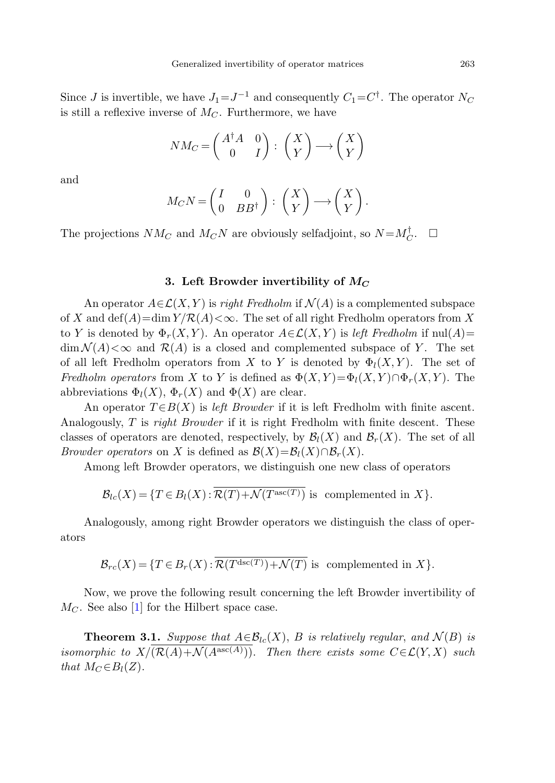Since J is invertible, we have  $J_1=J^{-1}$  and consequently  $C_1=C^{\dagger}$ . The operator  $N_C$ is still a reflexive inverse of  $M_C$ . Furthermore, we have

$$
NM_C = \begin{pmatrix} A^{\dagger}A & 0 \\ 0 & I \end{pmatrix} : \begin{pmatrix} X \\ Y \end{pmatrix} \longrightarrow \begin{pmatrix} X \\ Y \end{pmatrix}
$$

and

$$
M_C N = \begin{pmatrix} I & 0 \\ 0 & BB^{\dagger} \end{pmatrix} : \begin{pmatrix} X \\ Y \end{pmatrix} \longrightarrow \begin{pmatrix} X \\ Y \end{pmatrix}.
$$

The projections  $NM_C$  and  $M_C N$  are obviously selfadjoint, so  $N = M_C^{\dagger}$ .  $\Box$ 

#### **3. Left Browder invertibility of** *M<sup>C</sup>*

An operator  $A \in \mathcal{L}(X, Y)$  is right Fredholm if  $\mathcal{N}(A)$  is a complemented subspace of X and  $\det(A) = \dim Y/R(A) < \infty$ . The set of all right Fredholm operators from X to Y is denoted by  $\Phi_r(X,Y)$ . An operator  $A \in \mathcal{L}(X,Y)$  is left Fredholm if  $null(A)$  $\dim \mathcal{N}(A) < \infty$  and  $\mathcal{R}(A)$  is a closed and complemented subspace of Y. The set of all left Fredholm operators from X to Y is denoted by  $\Phi_l(X,Y)$ . The set of Fredholm operators from X to Y is defined as  $\Phi(X, Y) = \Phi_l(X, Y) \cap \Phi_r(X, Y)$ . The abbreviations  $\Phi_l(X)$ ,  $\Phi_r(X)$  and  $\Phi(X)$  are clear.

An operator  $T \in B(X)$  is left Browder if it is left Fredholm with finite ascent. Analogously, T is right Browder if it is right Fredholm with finite descent. These classes of operators are denoted, respectively, by  $\mathcal{B}_l(X)$  and  $\mathcal{B}_r(X)$ . The set of all *Browder operators* on X is defined as  $\mathcal{B}(X)=\mathcal{B}_l(X)\cap\mathcal{B}_r(X)$ .

Among left Browder operators, we distinguish one new class of operators

$$
\mathcal{B}_{lc}(X) = \{ T \in B_l(X) : \overline{\mathcal{R}(T) + \mathcal{N}(T^{\text{asc}(T)})} \text{ is complemented in } X \}.
$$

Analogously, among right Browder operators we distinguish the class of operators

$$
\mathcal{B}_{rc}(X) = \{ T \in B_r(X) : \overline{\mathcal{R}(T^{\text{dsc}(T)}) + \mathcal{N}(T)} \text{ is complemented in } X \}.
$$

Now, we prove the following result concerning the left Browder invertibility of  $M<sub>C</sub>$ . See also [[1\]](#page-8-0) for the Hilbert space case.

**Theorem 3.1.** Suppose that  $A \in \mathcal{B}_{lc}(X)$ , B is relatively regular, and  $\mathcal{N}(B)$  is isomorphic to  $X/\overline{(\mathcal{R}(A)+\mathcal{N}(A^{\mathrm{asc}(A)}))}$ . Then there exists some  $C\in\mathcal{L}(Y,X)$  such that  $M_C \in B_l(Z)$ .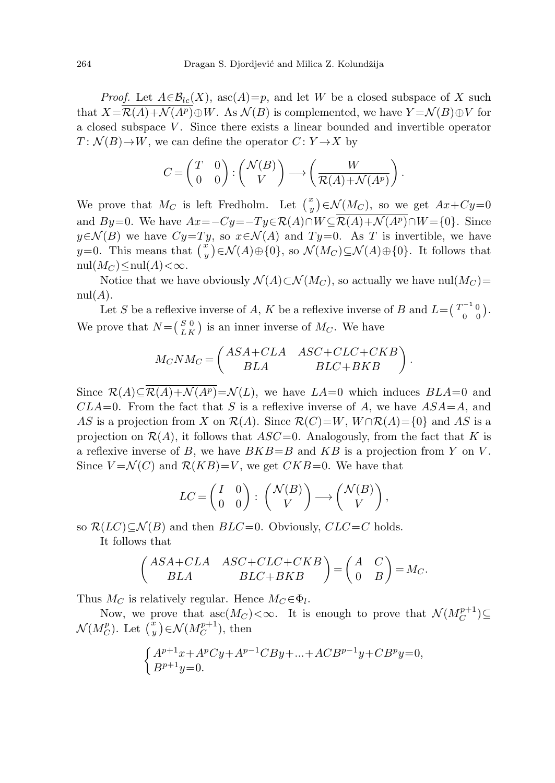*Proof.* Let  $A \in \mathcal{B}_{lc}(X)$ , asc $(A)=p$ , and let W be a closed subspace of X such that  $X=\mathcal{R}(A)+\mathcal{N}(A^p)\oplus W$ . As  $\mathcal{N}(B)$  is complemented, we have  $Y=\mathcal{N}(B)\oplus V$  for a closed subspace V . Since there exists a linear bounded and invertible operator  $T: \mathcal{N}(B) \to W$ , we can define the operator  $C: Y \to X$  by

$$
C = \begin{pmatrix} T & 0 \\ 0 & 0 \end{pmatrix} : \begin{pmatrix} \mathcal{N}(B) \\ V \end{pmatrix} \longrightarrow \begin{pmatrix} W \\ \overline{\mathcal{R}(A) + \mathcal{N}(A^p)} \end{pmatrix}.
$$

We prove that  $M_C$  is left Fredholm. Let  $\binom{x}{y}$  $\left( y^{\ast }\right) \in \mathcal{N}(M_{C}),$  so we get  $Ax+Cy\mathbf{=}0$ and By=0. We have  $Ax = -Cy = -Ty \in \mathcal{R}(A) \cap W \subseteq \overline{\mathcal{R}(A)+\mathcal{N}(A^p)} \cap W = \{0\}$ . Since  $y \in \mathcal{N}(B)$  we have  $Cy = Ty$ , so  $x \in \mathcal{N}(A)$  and  $Ty=0$ . As T is invertible, we have  $y=0$ . This means that  $\begin{pmatrix} x \\ y \end{pmatrix}$  $(y^{\mu}) \in \mathcal{N}(A) \oplus \{0\},$  so  $\mathcal{N}(M_C) \subseteq \mathcal{N}(A) \oplus \{0\}.$  It follows that nul $(M_C) \leq \text{null}(A) < \infty$ .

Notice that we have obviously  $\mathcal{N}(A) \subset \mathcal{N}(M_C)$ , so actually we have nul $(M_C)$ =  $nul(A).$ 

Let S be a reflexive inverse of A, K be a reflexive inverse of B and  $L = \begin{pmatrix} T^{-1} & 0 \\ 0 & 0 \end{pmatrix}$  $\begin{pmatrix} 0 & 0 \\ 0 & 0 \end{pmatrix}$ . We prove that  $N = \begin{pmatrix} S & 0 \\ L & K \end{pmatrix}$  $\binom{S}{L K}$  is an inner inverse of  $M_C$ . We have

$$
M_C N M_C = \begin{pmatrix} ASA + CLA & ASC + CLC + CKB \\ BLA & BLC + BKB \end{pmatrix}.
$$

Since  $\mathcal{R}(A) \subset \overline{\mathcal{R}(A)+\mathcal{N}(A^p)} = \mathcal{N}(L)$ , we have  $LA=0$  which induces  $BLA=0$  and  $CLA=0$ . From the fact that S is a reflexive inverse of A, we have  $ASA=A$ , and AS is a projection from X on  $\mathcal{R}(A)$ . Since  $\mathcal{R}(C)=W$ ,  $W \cap \mathcal{R}(A) = \{0\}$  and AS is a projection on  $\mathcal{R}(A)$ , it follows that  $ASC=0$ . Analogously, from the fact that K is a reflexive inverse of B, we have  $BKB=B$  and  $KB$  is a projection from Y on V. Since  $V = \mathcal{N}(C)$  and  $\mathcal{R}(KB) = V$ , we get  $CKB = 0$ . We have that

$$
LC = \begin{pmatrix} I & 0 \\ 0 & 0 \end{pmatrix} : \begin{pmatrix} \mathcal{N}(B) \\ V \end{pmatrix} \longrightarrow \begin{pmatrix} \mathcal{N}(B) \\ V \end{pmatrix},
$$

so  $\mathcal{R}(LC) \subset \mathcal{N}(B)$  and then  $BLC=0$ . Obviously,  $CLC=C$  holds.

It follows that

$$
\begin{pmatrix} ASA+CLA & ASC+CLC+CKB \\ BLA & BLC+BKB \end{pmatrix} = \begin{pmatrix} A & C \\ 0 & B \end{pmatrix} = M_C.
$$

Thus  $M_C$  is relatively regular. Hence  $M_C \in \Phi_l$ .

Now, we prove that  $asc(M_C) < \infty$ . It is enough to prove that  $\mathcal{N}(M_C^{p+1}) \subseteq$  $\mathcal{N}(M_C^p).$  Let  $\binom{x}{y}$  $(y^x) \in \mathcal{N}(M_C^{p+1}), \text{ then}$ 

$$
\begin{cases} A^{p+1}x + A^p Cy + A^{p-1}CBy + \dots + ACB^{p-1}y + CB^p y = 0, \\ B^{p+1}y = 0. \end{cases}
$$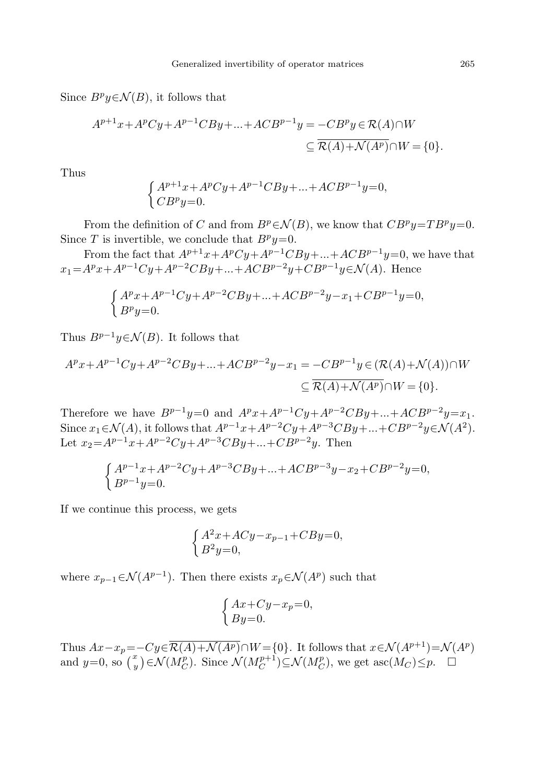Since  $B^p y \in \mathcal{N}(B)$ , it follows that

$$
A^{p+1}x + A^p Cy + A^{p-1}CBy + \dots + ACB^{p-1}y = -CB^p y \in \mathcal{R}(A) \cap W
$$
  

$$
\subseteq \overline{\mathcal{R}(A) + \mathcal{N}(A^p)} \cap W = \{0\}.
$$

Thus

$$
\begin{cases} A^{p+1}x + A^p Cy + A^{p-1}CBy + \dots + ACB^{p-1}y = 0, \\ CB^p y = 0. \end{cases}
$$

From the definition of C and from  $B^p \in \mathcal{N}(B)$ , we know that  $CB^p y = TB^p y = 0$ . Since T is invertible, we conclude that  $B^p y=0$ .

From the fact that  $A^{p+1}x+A^pCy+A^{p-1}CBy+...+ACB^{p-1}y=0$ , we have that  $x_1 = A^p x + A^{p-1}Cy + A^{p-2}CBy + ... + ACB^{p-2}y + CB^{p-1}y \in \mathcal{N}(A)$ . Hence

$$
\begin{cases} A^p x + A^{p-1} Cy + A^{p-2} CBy + ... + ACB^{p-2}y - x_1 + CB^{p-1}y = 0, \\ B^p y = 0. \end{cases}
$$

Thus  $B^{p-1}y \in \mathcal{N}(B)$ . It follows that

$$
A^{p}x + A^{p-1}Cy + A^{p-2}CBy + ... + ACB^{p-2}y - x_{1} = -CB^{p-1}y \in (\mathcal{R}(A) + \mathcal{N}(A)) \cap W
$$
  

$$
\subseteq \overline{\mathcal{R}(A) + \mathcal{N}(A^{p})} \cap W = \{0\}.
$$

Therefore we have  $B^{p-1}y=0$  and  $A^px+A^{p-1}Cy+A^{p-2}CBy+...+ACB^{p-2}y=x_1$ . Since  $x_1 \in \mathcal{N}(A)$ , it follows that  $A^{p-1}x + A^{p-2}Cy + A^{p-3}CBy + \ldots + CB^{p-2}y \in \mathcal{N}(A^2)$ . Let  $x_2 = A^{p-1}x + A^{p-2}Cy + A^{p-3}CBy + ... + CB^{p-2}y$ . Then

$$
\begin{cases} A^{p-1}x + A^{p-2}Cy + A^{p-3}CBy + \ldots + ACB^{p-3}y - x_2 + CB^{p-2}y = 0, \\ B^{p-1}y = 0. \end{cases}
$$

If we continue this process, we gets

$$
\begin{cases} A^2x + ACy - x_{p-1} + CBy = 0, \\ B^2y = 0, \end{cases}
$$

where  $x_{p-1} \in \mathcal{N}(A^{p-1})$ . Then there exists  $x_p \in \mathcal{N}(A^p)$  such that

$$
\begin{cases} Ax + Cy - x_p = 0, \\ By = 0. \end{cases}
$$

Thus  $Ax-x_p=-Cy\in \overline{\mathcal{R}(A)+\mathcal{N}(A^p)}\cap W=\{0\}$ . It follows that  $x\in \mathcal{N}(A^{p+1})=\mathcal{N}(A^p)$ and  $y=0$ , so  $\left(\frac{x}{y}\right)$  $\mathcal{N}(M_C^p)$ . Since  $\mathcal{N}(M_C^{p+1}) \subseteq \mathcal{N}(M_C^p)$ , we get asc $(M_C) \leq p$ .  $\Box$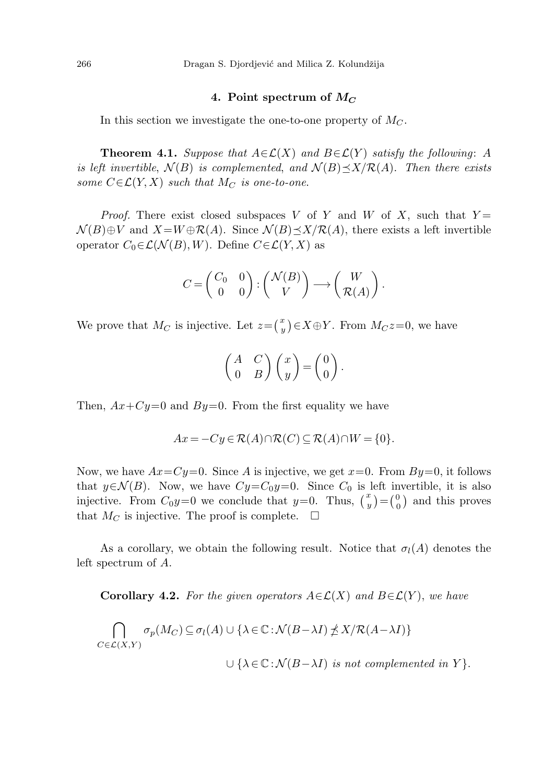### 4. Point spectrum of  $M_C$

In this section we investigate the one-to-one property of  $M_C$ .

**Theorem 4.1.** Suppose that  $A \in \mathcal{L}(X)$  and  $B \in \mathcal{L}(Y)$  satisfy the following: A is left invertible,  $\mathcal{N}(B)$  is complemented, and  $\mathcal{N}(B) \preceq X / \mathcal{R}(A)$ . Then there exists some  $C \in \mathcal{L}(Y, X)$  such that  $M_C$  is one-to-one.

*Proof.* There exist closed subspaces V of Y and W of X, such that  $Y =$  $\mathcal{N}(B) \oplus V$  and  $X = W \oplus \mathcal{R}(A)$ . Since  $\mathcal{N}(B) \preceq X / \mathcal{R}(A)$ , there exists a left invertible operator  $C_0 \in \mathcal{L}(\mathcal{N}(B), W)$ . Define  $C \in \mathcal{L}(Y, X)$  as

$$
C = \begin{pmatrix} C_0 & 0 \\ 0 & 0 \end{pmatrix} : \begin{pmatrix} \mathcal{N}(B) \\ V \end{pmatrix} \longrightarrow \begin{pmatrix} W \\ \mathcal{R}(A) \end{pmatrix}.
$$

We prove that  $M_C$  is injective. Let  $z = \begin{pmatrix} x \\ y \end{pmatrix}$  $(y^x)_y$   $\in$   $X \oplus Y$ . From  $M_C z = 0$ , we have

$$
\begin{pmatrix} A & C \\ 0 & B \end{pmatrix} \begin{pmatrix} x \\ y \end{pmatrix} = \begin{pmatrix} 0 \\ 0 \end{pmatrix}.
$$

Then,  $Ax+Cy=0$  and  $By=0$ . From the first equality we have

$$
Ax = -Cy \in \mathcal{R}(A) \cap \mathcal{R}(C) \subseteq \mathcal{R}(A) \cap W = \{0\}.
$$

Now, we have  $Ax = Cy = 0$ . Since A is injective, we get  $x=0$ . From  $By=0$ , it follows that  $y \in \mathcal{N}(B)$ . Now, we have  $Cy = C_0y=0$ . Since  $C_0$  is left invertible, it is also injective. From  $C_0y=0$  we conclude that  $y=0$ . Thus,  $\begin{pmatrix} x \\ y \end{pmatrix}$  $\binom{x}{y} = \binom{0}{0}$  $\binom{0}{0}$  and this proves that  $M_C$  is injective. The proof is complete.  $\Box$ 

As a corollary, we obtain the following result. Notice that  $\sigma_l(A)$  denotes the left spectrum of A.

**Corollary 4.2.** For the given operators  $A \in \mathcal{L}(X)$  and  $B \in \mathcal{L}(Y)$ , we have

$$
\bigcap_{C \in \mathcal{L}(X,Y)} \sigma_p(M_C) \subseteq \sigma_l(A) \cup \{ \lambda \in \mathbb{C} : \mathcal{N}(B - \lambda I) \npreceq X / \mathcal{R}(A - \lambda I) \}
$$

 $\cup \{ \lambda \in \mathbb{C} : \mathcal{N}(B - \lambda I)$  is not complemented in Y  $\}.$